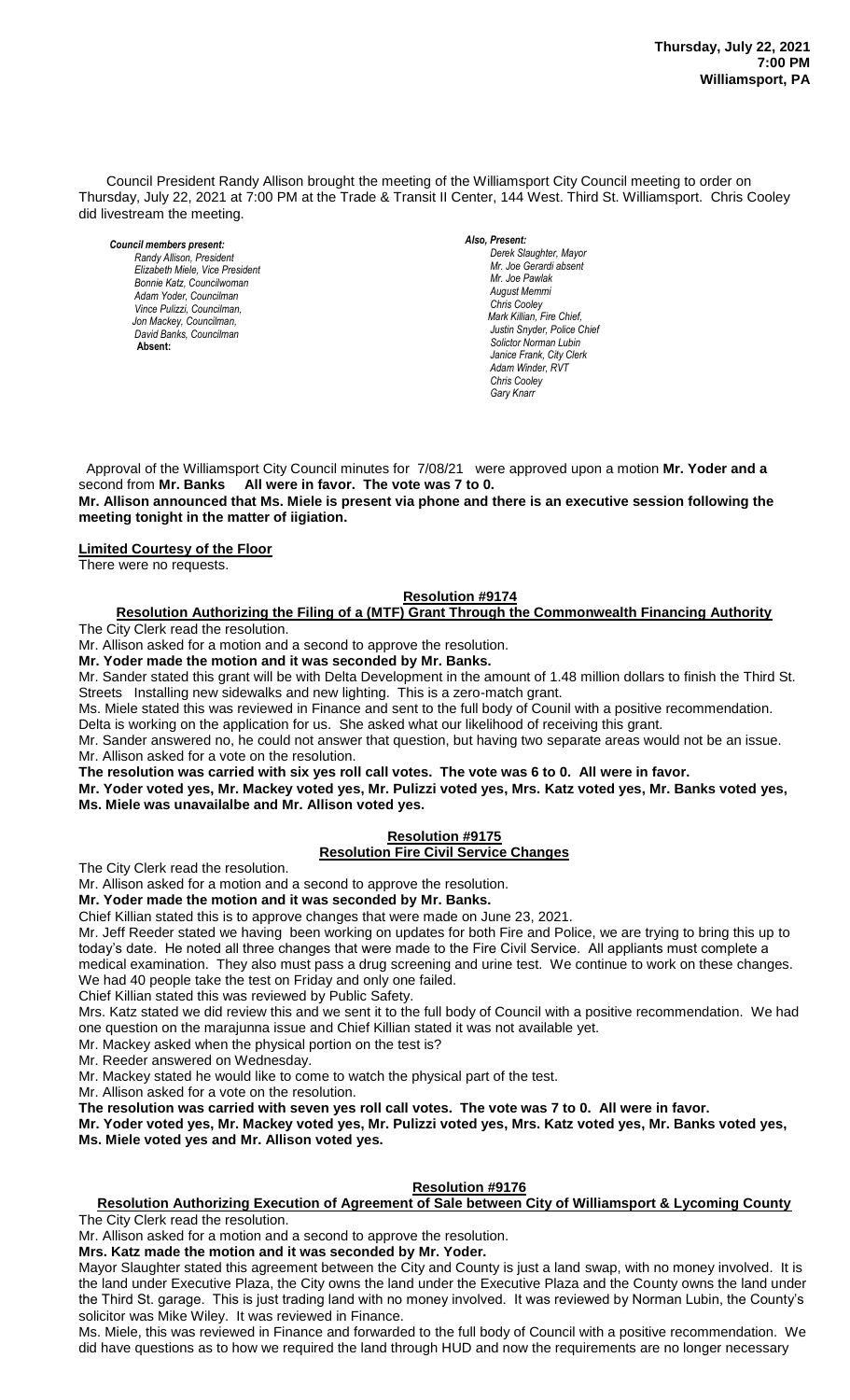Council President Randy Allison brought the meeting of the Williamsport City Council meeting to order on Thursday, July 22, 2021 at 7:00 PM at the Trade & Transit II Center, 144 West. Third St. Williamsport. Chris Cooley did livestream the meeting.

*Council members present: Randy Allison, President , President Elizabeth Miele, Vice President Bill Hall, Councilman Bonnie Katz, Councilwoman Adam Yoder, Councilman Vince Pulizzi, Councilman, Jon Mackey, Councilman, David Banks, Councilman*  **Absent:** 

*Also, Present:* 

*Derek Slaughter, Mayor Mr. Joe Gerardi absent Mr. Joseph Pawlak Mr. Joe Pawlak August Memmi Chris Cooley Mark Killian, Fire Chief,* **Justin Snyder, Police Chief** *Solictor Norman Lubin Janice Frank, City Clerk Adam Winder, RVT Chris Cooley Gary Knarr*

 Approval of the Williamsport City Council minutes for 7/08/21 were approved upon a motion **Mr. Yoder and a** second from **Mr. Banks All were in favor. The vote was 7 to 0.** 

**Mr. Allison announced that Ms. Miele is present via phone and there is an executive session following the meeting tonight in the matter of iigiation.**

**Limited Courtesy of the Floor**

There were no requests.

## **Resolution #9174**  *Sol. J. David Smith*

#### **Resolution Authorizing the Filing of a (MTF) Grant Through the Commonwealth Financing Authority** The City Clerk read the resolution. *Todd Heckman, Fire Chief ,*

Mr. Allison asked for a motion and a second to approve the resolution.

**Mr. Yoder made the motion and it was seconded by Mr. Banks.**

Mr. Sander stated this grant will be with Delta Development in the amount of 1.48 million dollars to finish the Third St. Streets Installing new sidewalks and new lighting. This is a zero-match grant.

Ms. Miele stated this was reviewed in Finance and sent to the full body of Counil with a positive recommendation. Delta is working on the application for us. She asked what our likelihood of receiving this grant.

Mr. Sander answered no, he could not answer that question, but having two separate areas would not be an issue. Mr. Allison asked for a vote on the resolution.

**The resolution was carried with six yes roll call votes. The vote was 6 to 0. All were in favor.**

**Mr. Yoder voted yes, Mr. Mackey voted yes, Mr. Pulizzi voted yes, Mrs. Katz voted yes, Mr. Banks voted yes, Ms. Miele was unavailalbe and Mr. Allison voted yes.** 

# **Resolution #9175**

## **Resolution Fire Civil Service Changes**

The City Clerk read the resolution.

Mr. Allison asked for a motion and a second to approve the resolution.

**Mr. Yoder made the motion and it was seconded by Mr. Banks.**

Chief Killian stated this is to approve changes that were made on June 23, 2021.

Mr. Jeff Reeder stated we having been working on updates for both Fire and Police, we are trying to bring this up to today's date. He noted all three changes that were made to the Fire Civil Service. All appliants must complete a medical examination. They also must pass a drug screening and urine test. We continue to work on these changes.

We had 40 people take the test on Friday and only one failed.

Chief Killian stated this was reviewed by Public Safety.

Mrs. Katz stated we did review this and we sent it to the full body of Council with a positive recommendation. We had one question on the marajunna issue and Chief Killian stated it was not available yet.

Mr. Mackey asked when the physical portion on the test is?

Mr. Reeder answered on Wednesday.

Mr. Mackey stated he would like to come to watch the physical part of the test.

Mr. Allison asked for a vote on the resolution.

**The resolution was carried with seven yes roll call votes. The vote was 7 to 0. All were in favor.**

**Mr. Yoder voted yes, Mr. Mackey voted yes, Mr. Pulizzi voted yes, Mrs. Katz voted yes, Mr. Banks voted yes, Ms. Miele voted yes and Mr. Allison voted yes.** 

## **Resolution #9176**

## **Resolution Authorizing Execution of Agreement of Sale between City of Williamsport & Lycoming County** The City Clerk read the resolution.

Mr. Allison asked for a motion and a second to approve the resolution.

**Mrs. Katz made the motion and it was seconded by Mr. Yoder.**

Mayor Slaughter stated this agreement between the City and County is just a land swap, with no money involved. It is the land under Executive Plaza, the City owns the land under the Executive Plaza and the County owns the land under the Third St. garage. This is just trading land with no money involved. It was reviewed by Norman Lubin, the County's solicitor was Mike Wiley. It was reviewed in Finance.

Ms. Miele, this was reviewed in Finance and forwarded to the full body of Council with a positive recommendation. We did have questions as to how we required the land through HUD and now the requirements are no longer necessary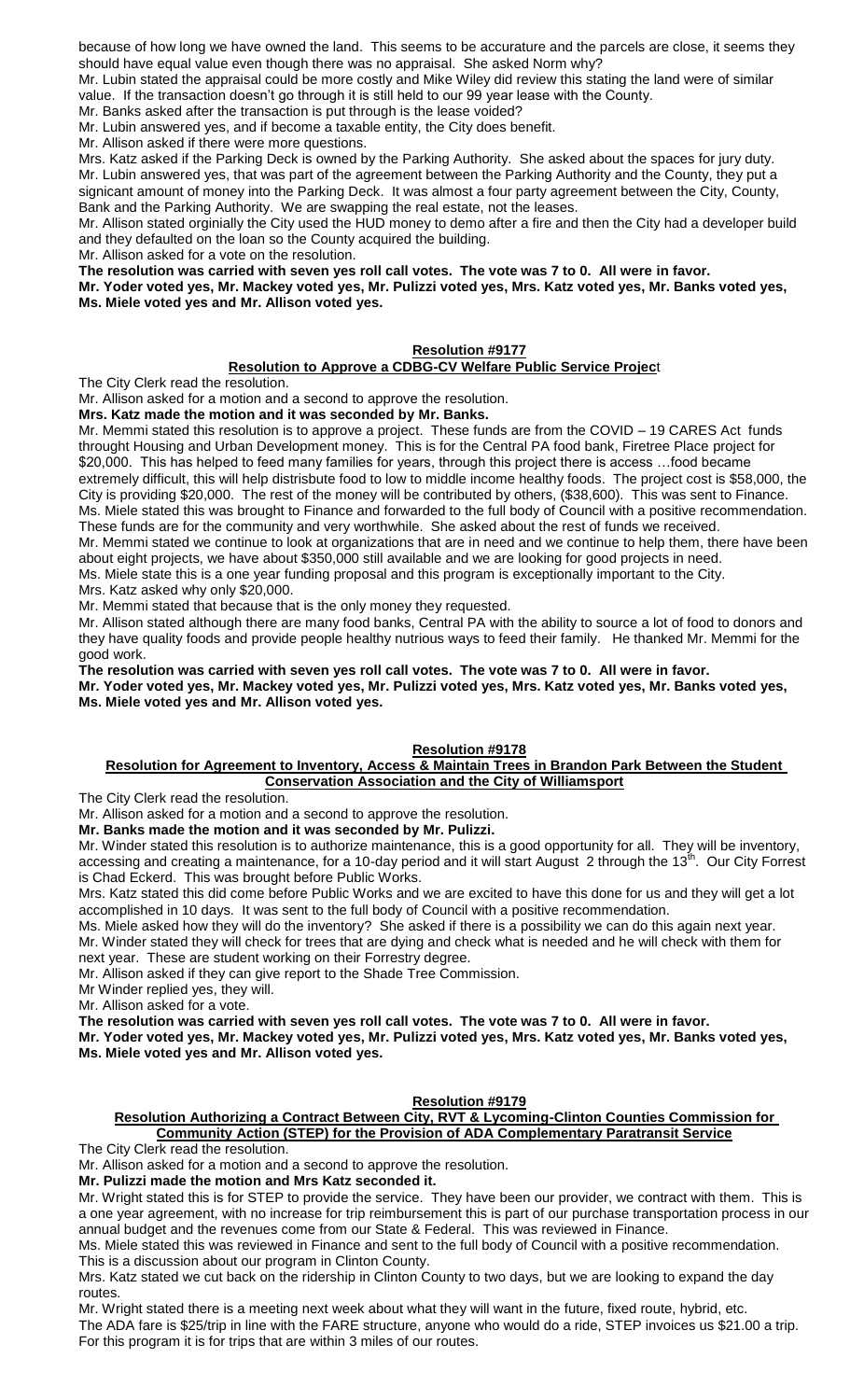because of how long we have owned the land. This seems to be accurature and the parcels are close, it seems they should have equal value even though there was no appraisal. She asked Norm why?

Mr. Lubin stated the appraisal could be more costly and Mike Wiley did review this stating the land were of similar value. If the transaction doesn't go through it is still held to our 99 year lease with the County.

Mr. Banks asked after the transaction is put through is the lease voided?

Mr. Lubin answered yes, and if become a taxable entity, the City does benefit.

Mr. Allison asked if there were more questions.

Mrs. Katz asked if the Parking Deck is owned by the Parking Authority. She asked about the spaces for jury duty. Mr. Lubin answered yes, that was part of the agreement between the Parking Authority and the County, they put a signicant amount of money into the Parking Deck. It was almost a four party agreement between the City, County, Bank and the Parking Authority. We are swapping the real estate, not the leases.

Mr. Allison stated orginially the City used the HUD money to demo after a fire and then the City had a developer build and they defaulted on the loan so the County acquired the building.

Mr. Allison asked for a vote on the resolution.

**The resolution was carried with seven yes roll call votes. The vote was 7 to 0. All were in favor.**

**Mr. Yoder voted yes, Mr. Mackey voted yes, Mr. Pulizzi voted yes, Mrs. Katz voted yes, Mr. Banks voted yes, Ms. Miele voted yes and Mr. Allison voted yes.** 

# **Resolution #9177**

## **Resolution to Approve a CDBG-CV Welfare Public Service Projec**t

The City Clerk read the resolution.

Mr. Allison asked for a motion and a second to approve the resolution.

**Mrs. Katz made the motion and it was seconded by Mr. Banks.**

Mr. Memmi stated this resolution is to approve a project. These funds are from the COVID – 19 CARES Act funds throught Housing and Urban Development money. This is for the Central PA food bank, Firetree Place project for \$20,000. This has helped to feed many families for years, through this project there is access ... food became extremely difficult, this will help distrisbute food to low to middle income healthy foods. The project cost is \$58,000, the City is providing \$20,000. The rest of the money will be contributed by others, (\$38,600). This was sent to Finance. Ms. Miele stated this was brought to Finance and forwarded to the full body of Council with a positive recommendation. These funds are for the community and very worthwhile. She asked about the rest of funds we received.

Mr. Memmi stated we continue to look at organizations that are in need and we continue to help them, there have been about eight projects, we have about \$350,000 still available and we are looking for good projects in need. Ms. Miele state this is a one year funding proposal and this program is exceptionally important to the City.

Mrs. Katz asked why only \$20,000.

Mr. Memmi stated that because that is the only money they requested.

Mr. Allison stated although there are many food banks, Central PA with the ability to source a lot of food to donors and they have quality foods and provide people healthy nutrious ways to feed their family. He thanked Mr. Memmi for the good work.

**The resolution was carried with seven yes roll call votes. The vote was 7 to 0. All were in favor.**

**Mr. Yoder voted yes, Mr. Mackey voted yes, Mr. Pulizzi voted yes, Mrs. Katz voted yes, Mr. Banks voted yes, Ms. Miele voted yes and Mr. Allison voted yes.** 

## **Resolution #9178**

#### **Resolution for Agreement to Inventory, Access & Maintain Trees in Brandon Park Between the Student Conservation Association and the City of Williamsport**

The City Clerk read the resolution.

Mr. Allison asked for a motion and a second to approve the resolution.

**Mr. Banks made the motion and it was seconded by Mr. Pulizzi.**

Mr. Winder stated this resolution is to authorize maintenance, this is a good opportunity for all. They will be inventory, accessing and creating a maintenance, for a 10-day period and it will start August 2 through the 13<sup>th</sup>. Our City Forrest is Chad Eckerd. This was brought before Public Works.

Mrs. Katz stated this did come before Public Works and we are excited to have this done for us and they will get a lot accomplished in 10 days. It was sent to the full body of Council with a positive recommendation.

Ms. Miele asked how they will do the inventory? She asked if there is a possibility we can do this again next year. Mr. Winder stated they will check for trees that are dying and check what is needed and he will check with them for

next year. These are student working on their Forrestry degree.

Mr. Allison asked if they can give report to the Shade Tree Commission.

Mr Winder replied yes, they will.

Mr. Allison asked for a vote.

**The resolution was carried with seven yes roll call votes. The vote was 7 to 0. All were in favor.**

**Mr. Yoder voted yes, Mr. Mackey voted yes, Mr. Pulizzi voted yes, Mrs. Katz voted yes, Mr. Banks voted yes, Ms. Miele voted yes and Mr. Allison voted yes.** 

#### **Resolution #9179**

## **Resolution Authorizing a Contract Between City, RVT & Lycoming-Clinton Counties Commission for Community Action (STEP) for the Provision of ADA Complementary Paratransit Service**

The City Clerk read the resolution.

Mr. Allison asked for a motion and a second to approve the resolution.

**Mr. Pulizzi made the motion and Mrs Katz seconded it.**

Mr. Wright stated this is for STEP to provide the service. They have been our provider, we contract with them. This is a one year agreement, with no increase for trip reimbursement this is part of our purchase transportation process in our annual budget and the revenues come from our State & Federal. This was reviewed in Finance.

Ms. Miele stated this was reviewed in Finance and sent to the full body of Council with a positive recommendation.

This is a discussion about our program in Clinton County. Mrs. Katz stated we cut back on the ridership in Clinton County to two days, but we are looking to expand the day

routes. Mr. Wright stated there is a meeting next week about what they will want in the future, fixed route, hybrid, etc.

The ADA fare is \$25/trip in line with the FARE structure, anyone who would do a ride, STEP invoices us \$21.00 a trip. For this program it is for trips that are within 3 miles of our routes.